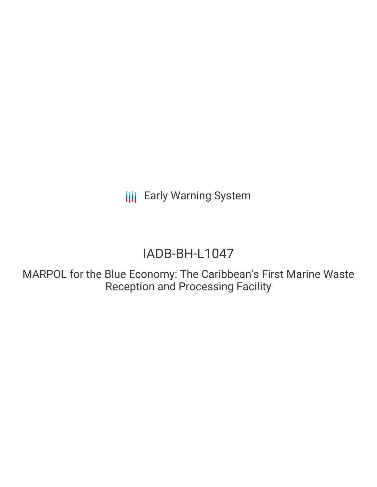**III** Early Warning System

# IADB-BH-L1047

MARPOL for the Blue Economy: The Caribbean's First Marine Waste Reception and Processing Facility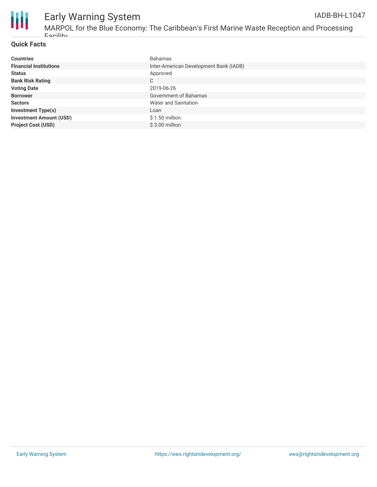

## Early Warning System

MARPOL for the Blue Economy: The Caribbean's First Marine Waste Reception and Processing Facility IADB-BH-L1047

### **Quick Facts**

| <b>Countries</b>               | <b>Bahamas</b>                         |
|--------------------------------|----------------------------------------|
| <b>Financial Institutions</b>  | Inter-American Development Bank (IADB) |
| <b>Status</b>                  | Approved                               |
| <b>Bank Risk Rating</b>        | С                                      |
| <b>Voting Date</b>             | 2019-06-26                             |
| <b>Borrower</b>                | Government of Bahamas                  |
| <b>Sectors</b>                 | Water and Sanitation                   |
| <b>Investment Type(s)</b>      | Loan                                   |
| <b>Investment Amount (USD)</b> | $$1.50$ million                        |
| <b>Project Cost (USD)</b>      | $$3.00$ million                        |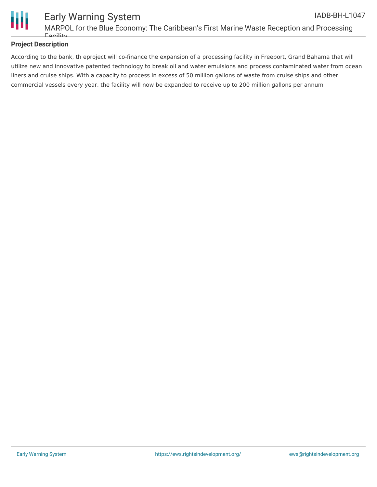

### **Project Description**

According to the bank, th eproject will co-finance the expansion of a processing facility in Freeport, Grand Bahama that will utilize new and innovative patented technology to break oil and water emulsions and process contaminated water from ocean liners and cruise ships. With a capacity to process in excess of 50 million gallons of waste from cruise ships and other commercial vessels every year, the facility will now be expanded to receive up to 200 million gallons per annum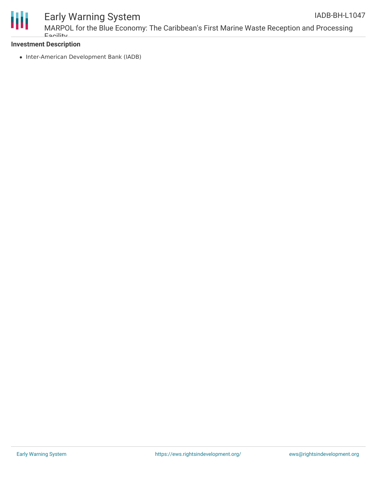

### Early Warning System

### **Investment Description**

• Inter-American Development Bank (IADB)